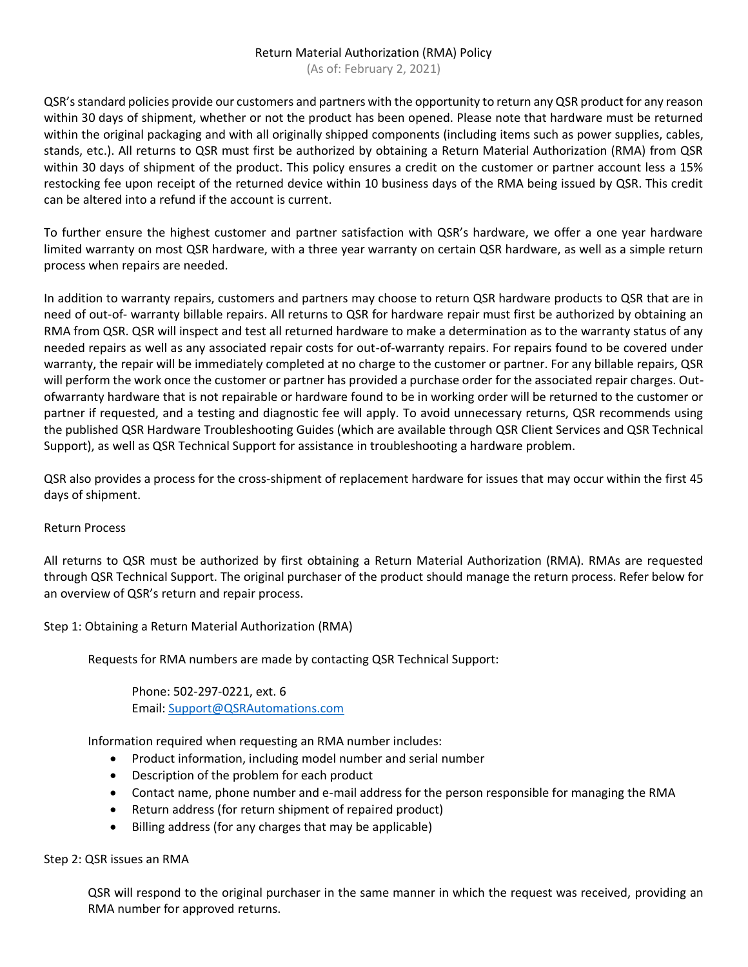## Return Material Authorization (RMA) Policy

(As of: February 2, 2021)

QSR's standard policies provide our customers and partners with the opportunity to return any QSR product for any reason within 30 days of shipment, whether or not the product has been opened. Please note that hardware must be returned within the original packaging and with all originally shipped components (including items such as power supplies, cables, stands, etc.). All returns to QSR must first be authorized by obtaining a Return Material Authorization (RMA) from QSR within 30 days of shipment of the product. This policy ensures a credit on the customer or partner account less a 15% restocking fee upon receipt of the returned device within 10 business days of the RMA being issued by QSR. This credit can be altered into a refund if the account is current.

To further ensure the highest customer and partner satisfaction with QSR's hardware, we offer a one year hardware limited warranty on most QSR hardware, with a three year warranty on certain QSR hardware, as well as a simple return process when repairs are needed.

In addition to warranty repairs, customers and partners may choose to return QSR hardware products to QSR that are in need of out-of- warranty billable repairs. All returns to QSR for hardware repair must first be authorized by obtaining an RMA from QSR. QSR will inspect and test all returned hardware to make a determination as to the warranty status of any needed repairs as well as any associated repair costs for out-of-warranty repairs. For repairs found to be covered under warranty, the repair will be immediately completed at no charge to the customer or partner. For any billable repairs, QSR will perform the work once the customer or partner has provided a purchase order for the associated repair charges. Outofwarranty hardware that is not repairable or hardware found to be in working order will be returned to the customer or partner if requested, and a testing and diagnostic fee will apply. To avoid unnecessary returns, QSR recommends using the published QSR Hardware Troubleshooting Guides (which are available through QSR Client Services and QSR Technical Support), as well as QSR Technical Support for assistance in troubleshooting a hardware problem.

QSR also provides a process for the cross-shipment of replacement hardware for issues that may occur within the first 45 days of shipment.

## Return Process

All returns to QSR must be authorized by first obtaining a Return Material Authorization (RMA). RMAs are requested through QSR Technical Support. The original purchaser of the product should manage the return process. Refer below for an overview of QSR's return and repair process.

Step 1: Obtaining a Return Material Authorization (RMA)

Requests for RMA numbers are made by contacting QSR Technical Support:

Phone: 502-297-0221, ext. 6 Email: [Support@QSRAutomations.com](mailto:Support@QSRAutomations.com)

Information required when requesting an RMA number includes:

- Product information, including model number and serial number
- Description of the problem for each product
- Contact name, phone number and e-mail address for the person responsible for managing the RMA
- Return address (for return shipment of repaired product)
- Billing address (for any charges that may be applicable)

Step 2: QSR issues an RMA

QSR will respond to the original purchaser in the same manner in which the request was received, providing an RMA number for approved returns.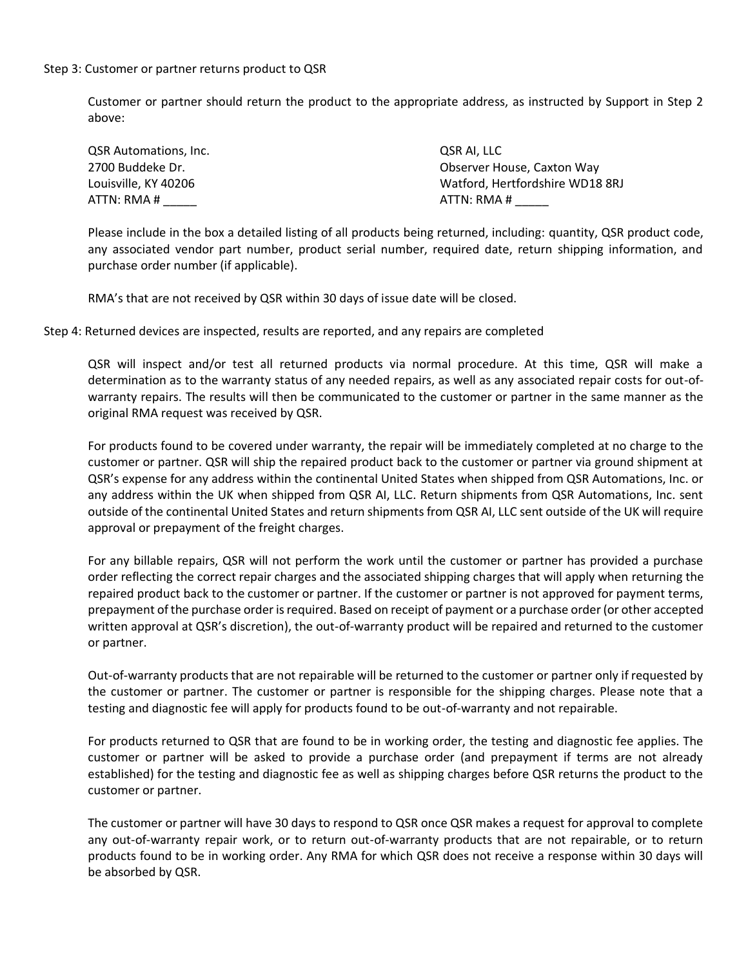## Step 3: Customer or partner returns product to QSR

Customer or partner should return the product to the appropriate address, as instructed by Support in Step 2 above:

| QSR Automations, Inc. | OSR AI. LLC                     |
|-----------------------|---------------------------------|
| 2700 Buddeke Dr.      | Observer House, Caxton Way      |
| Louisville. KY 40206  | Watford, Hertfordshire WD18 8RJ |
| ATTN: RMA #           | ATTN: RMA #                     |

Please include in the box a detailed listing of all products being returned, including: quantity, QSR product code, any associated vendor part number, product serial number, required date, return shipping information, and purchase order number (if applicable).

RMA's that are not received by QSR within 30 days of issue date will be closed.

Step 4: Returned devices are inspected, results are reported, and any repairs are completed

QSR will inspect and/or test all returned products via normal procedure. At this time, QSR will make a determination as to the warranty status of any needed repairs, as well as any associated repair costs for out-ofwarranty repairs. The results will then be communicated to the customer or partner in the same manner as the original RMA request was received by QSR.

For products found to be covered under warranty, the repair will be immediately completed at no charge to the customer or partner. QSR will ship the repaired product back to the customer or partner via ground shipment at QSR's expense for any address within the continental United States when shipped from QSR Automations, Inc. or any address within the UK when shipped from QSR AI, LLC. Return shipments from QSR Automations, Inc. sent outside of the continental United States and return shipments from QSR AI, LLC sent outside of the UK will require approval or prepayment of the freight charges.

For any billable repairs, QSR will not perform the work until the customer or partner has provided a purchase order reflecting the correct repair charges and the associated shipping charges that will apply when returning the repaired product back to the customer or partner. If the customer or partner is not approved for payment terms, prepayment of the purchase order is required. Based on receipt of payment or a purchase order (or other accepted written approval at QSR's discretion), the out-of-warranty product will be repaired and returned to the customer or partner.

Out-of-warranty products that are not repairable will be returned to the customer or partner only if requested by the customer or partner. The customer or partner is responsible for the shipping charges. Please note that a testing and diagnostic fee will apply for products found to be out-of-warranty and not repairable.

For products returned to QSR that are found to be in working order, the testing and diagnostic fee applies. The customer or partner will be asked to provide a purchase order (and prepayment if terms are not already established) for the testing and diagnostic fee as well as shipping charges before QSR returns the product to the customer or partner.

The customer or partner will have 30 days to respond to QSR once QSR makes a request for approval to complete any out-of-warranty repair work, or to return out-of-warranty products that are not repairable, or to return products found to be in working order. Any RMA for which QSR does not receive a response within 30 days will be absorbed by QSR.